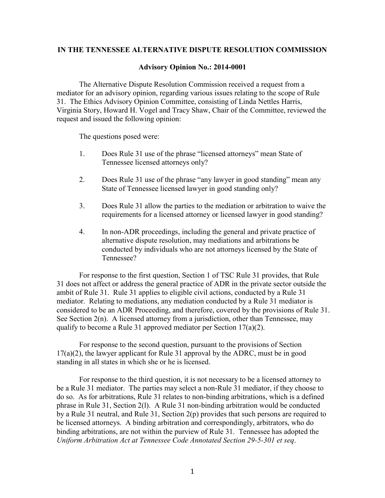## **IN THE TENNESSEE ALTERNATIVE DISPUTE RESOLUTION COMMISSION**

## **Advisory Opinion No.: 2014-0001**

The Alternative Dispute Resolution Commission received a request from a mediator for an advisory opinion, regarding various issues relating to the scope of Rule 31. The Ethics Advisory Opinion Committee, consisting of Linda Nettles Harris, Virginia Story, Howard H. Vogel and Tracy Shaw, Chair of the Committee, reviewed the request and issued the following opinion:

The questions posed were:

- 1. Does Rule 31 use of the phrase "licensed attorneys" mean State of Tennessee licensed attorneys only?
- 2. Does Rule 31 use of the phrase "any lawyer in good standing" mean any State of Tennessee licensed lawyer in good standing only?
- 3. Does Rule 31 allow the parties to the mediation or arbitration to waive the requirements for a licensed attorney or licensed lawyer in good standing?
- 4. In non-ADR proceedings, including the general and private practice of alternative dispute resolution, may mediations and arbitrations be conducted by individuals who are not attorneys licensed by the State of Tennessee?

For response to the first question, Section 1 of TSC Rule 31 provides, that Rule 31 does not affect or address the general practice of ADR in the private sector outside the ambit of Rule 31. Rule 31 applies to eligible civil actions, conducted by a Rule 31 mediator. Relating to mediations, any mediation conducted by a Rule 31 mediator is considered to be an ADR Proceeding, and therefore, covered by the provisions of Rule 31. See Section 2(n). A licensed attorney from a jurisdiction, other than Tennessee, may qualify to become a Rule 31 approved mediator per Section 17(a)(2).

For response to the second question, pursuant to the provisions of Section 17(a)(2), the lawyer applicant for Rule 31 approval by the ADRC, must be in good standing in all states in which she or he is licensed.

For response to the third question, it is not necessary to be a licensed attorney to be a Rule 31 mediator. The parties may select a non-Rule 31 mediator, if they choose to do so. As for arbitrations, Rule 31 relates to non-binding arbitrations, which is a defined phrase in Rule 31, Section 2(l). A Rule 31 non-binding arbitration would be conducted by a Rule 31 neutral, and Rule 31, Section 2(p) provides that such persons are required to be licensed attorneys. A binding arbitration and correspondingly, arbitrators, who do binding arbitrations, are not within the purview of Rule 31. Tennessee has adopted the *Uniform Arbitration Act at Tennessee Code Annotated Section 29-5-301 et seq*.